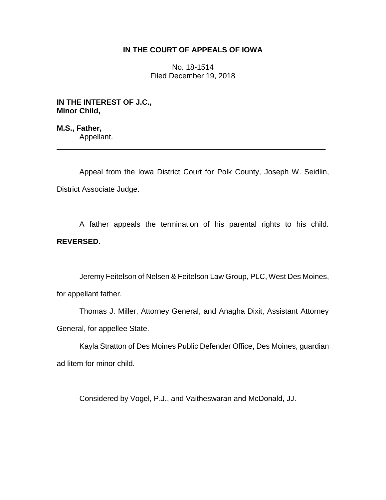# **IN THE COURT OF APPEALS OF IOWA**

No. 18-1514 Filed December 19, 2018

**IN THE INTEREST OF J.C., Minor Child,**

**M.S., Father,** Appellant.

Appeal from the Iowa District Court for Polk County, Joseph W. Seidlin, District Associate Judge.

\_\_\_\_\_\_\_\_\_\_\_\_\_\_\_\_\_\_\_\_\_\_\_\_\_\_\_\_\_\_\_\_\_\_\_\_\_\_\_\_\_\_\_\_\_\_\_\_\_\_\_\_\_\_\_\_\_\_\_\_\_\_\_\_

A father appeals the termination of his parental rights to his child. **REVERSED.**

Jeremy Feitelson of Nelsen & Feitelson Law Group, PLC, West Des Moines, for appellant father.

Thomas J. Miller, Attorney General, and Anagha Dixit, Assistant Attorney General, for appellee State.

Kayla Stratton of Des Moines Public Defender Office, Des Moines, guardian ad litem for minor child.

Considered by Vogel, P.J., and Vaitheswaran and McDonald, JJ.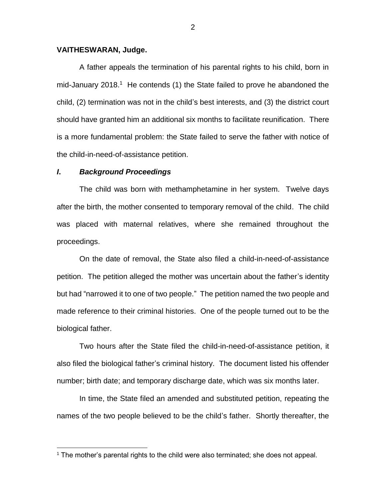## **VAITHESWARAN, Judge.**

A father appeals the termination of his parental rights to his child, born in mid-January 2018.<sup>1</sup> He contends (1) the State failed to prove he abandoned the child, (2) termination was not in the child's best interests, and (3) the district court should have granted him an additional six months to facilitate reunification. There is a more fundamental problem: the State failed to serve the father with notice of the child-in-need-of-assistance petition.

### *I***.** *Background Proceedings*

 $\overline{a}$ 

The child was born with methamphetamine in her system. Twelve days after the birth, the mother consented to temporary removal of the child. The child was placed with maternal relatives, where she remained throughout the proceedings.

On the date of removal, the State also filed a child-in-need-of-assistance petition. The petition alleged the mother was uncertain about the father's identity but had "narrowed it to one of two people." The petition named the two people and made reference to their criminal histories. One of the people turned out to be the biological father.

Two hours after the State filed the child-in-need-of-assistance petition, it also filed the biological father's criminal history. The document listed his offender number; birth date; and temporary discharge date, which was six months later.

In time, the State filed an amended and substituted petition, repeating the names of the two people believed to be the child's father. Shortly thereafter, the

 $1$  The mother's parental rights to the child were also terminated; she does not appeal.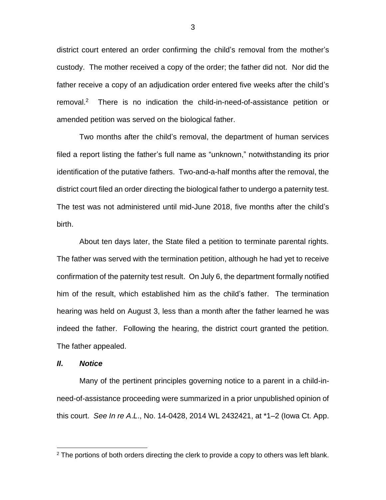district court entered an order confirming the child's removal from the mother's custody. The mother received a copy of the order; the father did not. Nor did the father receive a copy of an adjudication order entered five weeks after the child's removal.<sup>2</sup> There is no indication the child-in-need-of-assistance petition or amended petition was served on the biological father.

Two months after the child's removal, the department of human services filed a report listing the father's full name as "unknown," notwithstanding its prior identification of the putative fathers. Two-and-a-half months after the removal, the district court filed an order directing the biological father to undergo a paternity test. The test was not administered until mid-June 2018, five months after the child's birth.

About ten days later, the State filed a petition to terminate parental rights. The father was served with the termination petition, although he had yet to receive confirmation of the paternity test result. On July 6, the department formally notified him of the result, which established him as the child's father. The termination hearing was held on August 3, less than a month after the father learned he was indeed the father. Following the hearing, the district court granted the petition. The father appealed.

## *II***.** *Notice*

 $\overline{a}$ 

Many of the pertinent principles governing notice to a parent in a child-inneed-of-assistance proceeding were summarized in a prior unpublished opinion of this court. *See In re A*.*L*., No. 14-0428, 2014 WL 2432421, at \*1–2 (Iowa Ct. App.

 $2$  The portions of both orders directing the clerk to provide a copy to others was left blank.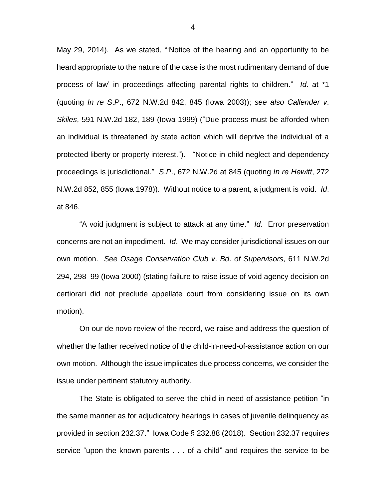May 29, 2014). As we stated, "'Notice of the hearing and an opportunity to be heard appropriate to the nature of the case is the most rudimentary demand of due process of law' in proceedings affecting parental rights to children." *Id*. at \*1 (quoting *In re S*.*P*., 672 N.W.2d 842, 845 (Iowa 2003)); *see also Callender v*. *Skiles*, 591 N.W.2d 182, 189 (Iowa 1999) ("Due process must be afforded when an individual is threatened by state action which will deprive the individual of a protected liberty or property interest."). "Notice in child neglect and dependency proceedings is jurisdictional." *S*.*P*., 672 N.W.2d at 845 (quoting *In re Hewitt*, 272 N.W.2d 852, 855 (Iowa 1978)). Without notice to a parent, a judgment is void. *Id*. at 846.

"A void judgment is subject to attack at any time." *Id*. Error preservation concerns are not an impediment. *Id*. We may consider jurisdictional issues on our own motion. *See Osage Conservation Club v*. *Bd*. *of Supervisors*, 611 N.W.2d 294, 298–99 (Iowa 2000) (stating failure to raise issue of void agency decision on certiorari did not preclude appellate court from considering issue on its own motion).

On our de novo review of the record, we raise and address the question of whether the father received notice of the child-in-need-of-assistance action on our own motion. Although the issue implicates due process concerns, we consider the issue under pertinent statutory authority.

The State is obligated to serve the child-in-need-of-assistance petition "in the same manner as for adjudicatory hearings in cases of juvenile delinquency as provided in section 232.37." Iowa Code § 232.88 (2018). Section 232.37 requires service "upon the known parents . . . of a child" and requires the service to be

4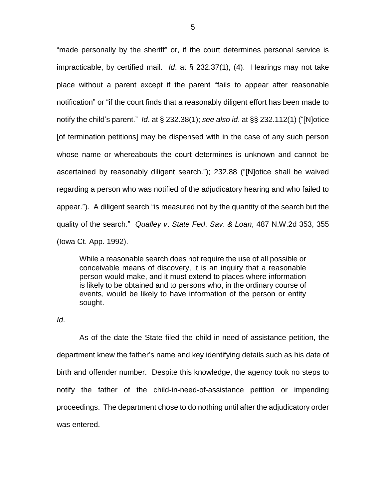"made personally by the sheriff" or, if the court determines personal service is impracticable, by certified mail. *Id*. at § 232.37(1), (4). Hearings may not take place without a parent except if the parent "fails to appear after reasonable notification" or "if the court finds that a reasonably diligent effort has been made to notify the child's parent." *Id*. at § 232.38(1); *see also id*. at §§ 232.112(1) ("[N]otice [of termination petitions] may be dispensed with in the case of any such person whose name or whereabouts the court determines is unknown and cannot be ascertained by reasonably diligent search."); 232.88 ("[N]otice shall be waived regarding a person who was notified of the adjudicatory hearing and who failed to appear."). A diligent search "is measured not by the quantity of the search but the quality of the search." *Qualley v*. *State Fed*. *Sav*. *& Loan*, 487 N.W.2d 353, 355 (Iowa Ct. App. 1992).

While a reasonable search does not require the use of all possible or conceivable means of discovery, it is an inquiry that a reasonable person would make, and it must extend to places where information is likely to be obtained and to persons who, in the ordinary course of events, would be likely to have information of the person or entity sought.

*Id*.

As of the date the State filed the child-in-need-of-assistance petition, the department knew the father's name and key identifying details such as his date of birth and offender number. Despite this knowledge, the agency took no steps to notify the father of the child-in-need-of-assistance petition or impending proceedings. The department chose to do nothing until after the adjudicatory order was entered.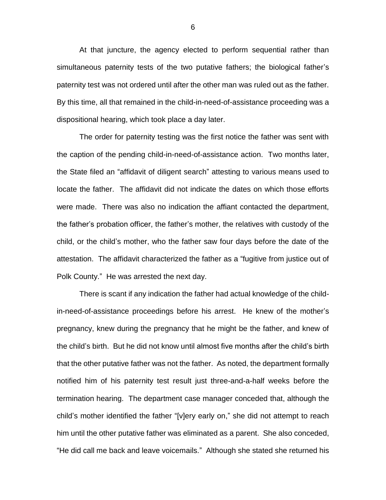At that juncture, the agency elected to perform sequential rather than simultaneous paternity tests of the two putative fathers; the biological father's paternity test was not ordered until after the other man was ruled out as the father. By this time, all that remained in the child-in-need-of-assistance proceeding was a dispositional hearing, which took place a day later.

The order for paternity testing was the first notice the father was sent with the caption of the pending child-in-need-of-assistance action. Two months later, the State filed an "affidavit of diligent search" attesting to various means used to locate the father. The affidavit did not indicate the dates on which those efforts were made. There was also no indication the affiant contacted the department, the father's probation officer, the father's mother, the relatives with custody of the child, or the child's mother, who the father saw four days before the date of the attestation. The affidavit characterized the father as a "fugitive from justice out of Polk County." He was arrested the next day.

There is scant if any indication the father had actual knowledge of the childin-need-of-assistance proceedings before his arrest. He knew of the mother's pregnancy, knew during the pregnancy that he might be the father, and knew of the child's birth. But he did not know until almost five months after the child's birth that the other putative father was not the father. As noted, the department formally notified him of his paternity test result just three-and-a-half weeks before the termination hearing. The department case manager conceded that, although the child's mother identified the father "[v]ery early on," she did not attempt to reach him until the other putative father was eliminated as a parent. She also conceded, "He did call me back and leave voicemails." Although she stated she returned his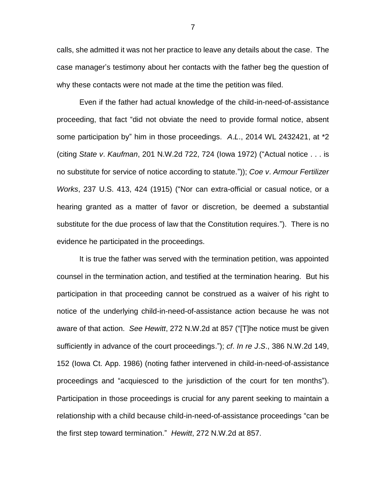calls, she admitted it was not her practice to leave any details about the case. The case manager's testimony about her contacts with the father beg the question of why these contacts were not made at the time the petition was filed.

Even if the father had actual knowledge of the child-in-need-of-assistance proceeding, that fact "did not obviate the need to provide formal notice, absent some participation by" him in those proceedings. *A*.*L*., 2014 WL 2432421, at \*2 (citing *State v*. *Kaufman*, 201 N.W.2d 722, 724 (Iowa 1972) ("Actual notice . . . is no substitute for service of notice according to statute.")); *Coe v*. *Armour Fertilizer Works*, 237 U.S. 413, 424 (1915) ("Nor can extra-official or casual notice, or a hearing granted as a matter of favor or discretion, be deemed a substantial substitute for the due process of law that the Constitution requires."). There is no evidence he participated in the proceedings.

It is true the father was served with the termination petition, was appointed counsel in the termination action, and testified at the termination hearing. But his participation in that proceeding cannot be construed as a waiver of his right to notice of the underlying child-in-need-of-assistance action because he was not aware of that action. *See Hewitt*, 272 N.W.2d at 857 ("[T]he notice must be given sufficiently in advance of the court proceedings."); *cf*. *In re J*.*S*., 386 N.W.2d 149, 152 (Iowa Ct. App. 1986) (noting father intervened in child-in-need-of-assistance proceedings and "acquiesced to the jurisdiction of the court for ten months"). Participation in those proceedings is crucial for any parent seeking to maintain a relationship with a child because child-in-need-of-assistance proceedings "can be the first step toward termination." *Hewitt*, 272 N.W.2d at 857.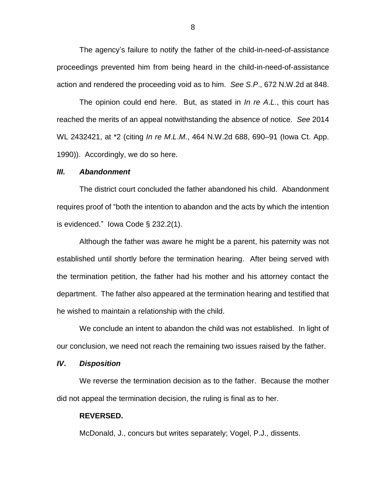The agency's failure to notify the father of the child-in-need-of-assistance proceedings prevented him from being heard in the child-in-need-of-assistance action and rendered the proceeding void as to him. *See S*.*P*., 672 N.W.2d at 848.

The opinion could end here. But, as stated in *In re A*.*L*., this court has reached the merits of an appeal notwithstanding the absence of notice. *See* 2014 WL 2432421, at \*2 (citing *In re M*.*L*.*M*., 464 N.W.2d 688, 690–91 (Iowa Ct. App. 1990)). Accordingly, we do so here.

#### *III. Abandonment*

The district court concluded the father abandoned his child. Abandonment requires proof of "both the intention to abandon and the acts by which the intention is evidenced." Iowa Code § 232.2(1).

Although the father was aware he might be a parent, his paternity was not established until shortly before the termination hearing. After being served with the termination petition, the father had his mother and his attorney contact the department. The father also appeared at the termination hearing and testified that he wished to maintain a relationship with the child.

We conclude an intent to abandon the child was not established. In light of our conclusion, we need not reach the remaining two issues raised by the father.

## *IV***.** *Disposition*

We reverse the termination decision as to the father. Because the mother did not appeal the termination decision, the ruling is final as to her.

#### **REVERSED.**

McDonald, J., concurs but writes separately; Vogel, P.J., dissents.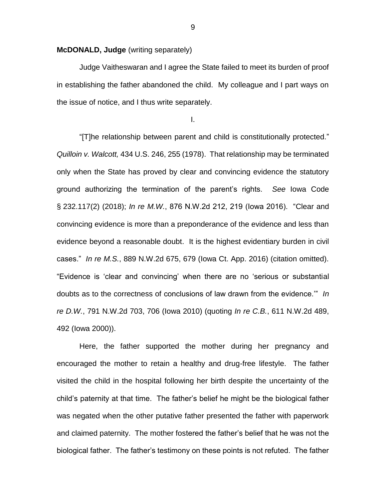## **McDONALD, Judge** (writing separately)

Judge Vaitheswaran and I agree the State failed to meet its burden of proof in establishing the father abandoned the child. My colleague and I part ways on the issue of notice, and I thus write separately.

I.

"[T]he relationship between parent and child is constitutionally protected." *Quilloin v. Walcott,* 434 U.S. 246, 255 (1978). That relationship may be terminated only when the State has proved by clear and convincing evidence the statutory ground authorizing the termination of the parent's rights. *See* Iowa Code § 232.117(2) (2018); *In re M.W.*, 876 N.W.2d 212, 219 (Iowa 2016). "Clear and convincing evidence is more than a preponderance of the evidence and less than evidence beyond a reasonable doubt. It is the highest evidentiary burden in civil cases." *In re M.S.*, 889 N.W.2d 675, 679 (Iowa Ct. App. 2016) (citation omitted). "Evidence is 'clear and convincing' when there are no 'serious or substantial doubts as to the correctness of conclusions of law drawn from the evidence.'" *In re D.W.*, 791 N.W.2d 703, 706 (Iowa 2010) (quoting *In re C.B.*, 611 N.W.2d 489, 492 (Iowa 2000)).

Here, the father supported the mother during her pregnancy and encouraged the mother to retain a healthy and drug-free lifestyle. The father visited the child in the hospital following her birth despite the uncertainty of the child's paternity at that time. The father's belief he might be the biological father was negated when the other putative father presented the father with paperwork and claimed paternity. The mother fostered the father's belief that he was not the biological father. The father's testimony on these points is not refuted. The father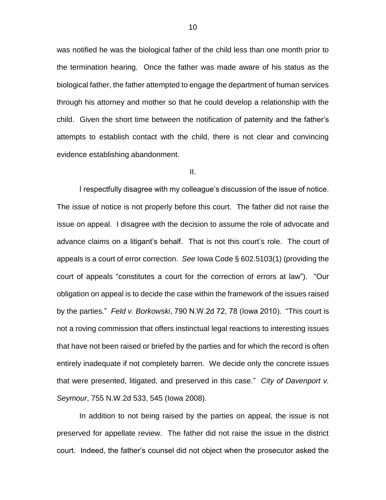was notified he was the biological father of the child less than one month prior to the termination hearing. Once the father was made aware of his status as the biological father, the father attempted to engage the department of human services through his attorney and mother so that he could develop a relationship with the child. Given the short time between the notification of paternity and the father's attempts to establish contact with the child, there is not clear and convincing evidence establishing abandonment.

II.

I respectfully disagree with my colleague's discussion of the issue of notice. The issue of notice is not properly before this court. The father did not raise the issue on appeal. I disagree with the decision to assume the role of advocate and advance claims on a litigant's behalf. That is not this court's role. The court of appeals is a court of error correction. *See* Iowa Code § 602.5103(1) (providing the court of appeals "constitutes a court for the correction of errors at law"). "Our obligation on appeal is to decide the case within the framework of the issues raised by the parties." *Feld v. Borkowski*, 790 N.W.2d 72, 78 (Iowa 2010). "This court is not a roving commission that offers instinctual legal reactions to interesting issues that have not been raised or briefed by the parties and for which the record is often entirely inadequate if not completely barren. We decide only the concrete issues that were presented, litigated, and preserved in this case." *City of Davenport v. Seymour*, 755 N.W.2d 533, 545 (Iowa 2008).

In addition to not being raised by the parties on appeal, the issue is not preserved for appellate review. The father did not raise the issue in the district court. Indeed, the father's counsel did not object when the prosecutor asked the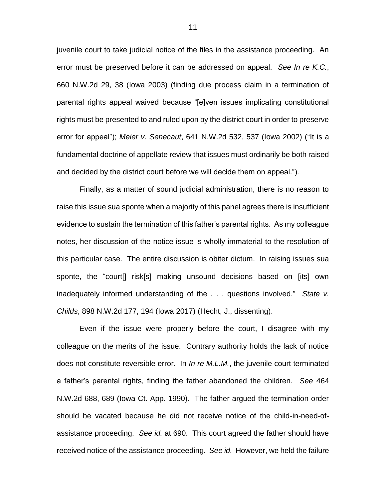juvenile court to take judicial notice of the files in the assistance proceeding. An error must be preserved before it can be addressed on appeal. *See In re K.C.*, 660 N.W.2d 29, 38 (Iowa 2003) (finding due process claim in a termination of parental rights appeal waived because "[e]ven issues implicating constitutional rights must be presented to and ruled upon by the district court in order to preserve error for appeal"); *Meier v. Senecaut*, 641 N.W.2d 532, 537 (Iowa 2002) ("It is a fundamental doctrine of appellate review that issues must ordinarily be both raised and decided by the district court before we will decide them on appeal.").

Finally, as a matter of sound judicial administration, there is no reason to raise this issue sua sponte when a majority of this panel agrees there is insufficient evidence to sustain the termination of this father's parental rights. As my colleague notes, her discussion of the notice issue is wholly immaterial to the resolution of this particular case. The entire discussion is obiter dictum. In raising issues sua sponte, the "court[] risk[s] making unsound decisions based on [its] own inadequately informed understanding of the . . . questions involved." *State v. Childs*, 898 N.W.2d 177, 194 (Iowa 2017) (Hecht, J., dissenting).

Even if the issue were properly before the court, I disagree with my colleague on the merits of the issue. Contrary authority holds the lack of notice does not constitute reversible error. In *In re M.L.M.*, the juvenile court terminated a father's parental rights, finding the father abandoned the children. *See* 464 N.W.2d 688, 689 (Iowa Ct. App. 1990). The father argued the termination order should be vacated because he did not receive notice of the child-in-need-ofassistance proceeding. *See id.* at 690. This court agreed the father should have received notice of the assistance proceeding. *See id.* However, we held the failure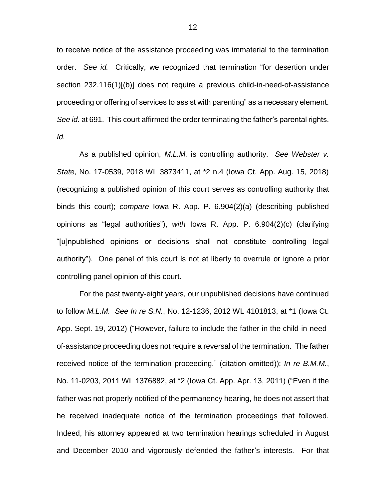to receive notice of the assistance proceeding was immaterial to the termination order. *See id.* Critically, we recognized that termination "for desertion under section 232.116(1)[(b)] does not require a previous child-in-need-of-assistance proceeding or offering of services to assist with parenting" as a necessary element. *See id.* at 691. This court affirmed the order terminating the father's parental rights. *Id.*

As a published opinion, *M.L.M.* is controlling authority. *See Webster v. State*, No. 17-0539, 2018 WL 3873411, at \*2 n.4 (Iowa Ct. App. Aug. 15, 2018) (recognizing a published opinion of this court serves as controlling authority that binds this court); *compare* Iowa R. App. P. 6.904(2)(a) (describing published opinions as "legal authorities"), *with* Iowa R. App. P. 6.904(2)(c) (clarifying "[u]npublished opinions or decisions shall not constitute controlling legal authority"). One panel of this court is not at liberty to overrule or ignore a prior controlling panel opinion of this court.

For the past twenty-eight years, our unpublished decisions have continued to follow *M.L.M. See In re S.N.*, No. 12-1236, 2012 WL 4101813, at \*1 (Iowa Ct. App. Sept. 19, 2012) ("However, failure to include the father in the child-in-needof-assistance proceeding does not require a reversal of the termination. The father received notice of the termination proceeding." (citation omitted)); *In re B.M.M.*, No. 11-0203, 2011 WL 1376882, at \*2 (Iowa Ct. App. Apr. 13, 2011) ("Even if the father was not properly notified of the permanency hearing, he does not assert that he received inadequate notice of the termination proceedings that followed. Indeed, his attorney appeared at two termination hearings scheduled in August and December 2010 and vigorously defended the father's interests. For that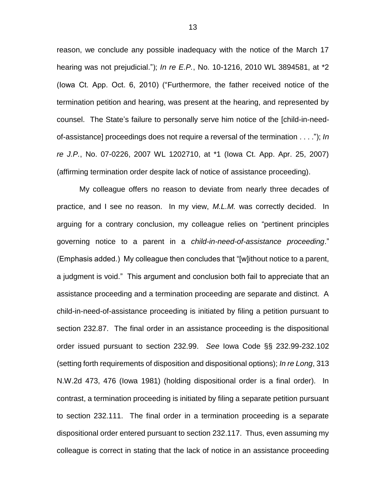reason, we conclude any possible inadequacy with the notice of the March 17 hearing was not prejudicial."); *In re E.P.*, No. 10-1216, 2010 WL 3894581, at \*2 (Iowa Ct. App. Oct. 6, 2010) ("Furthermore, the father received notice of the termination petition and hearing, was present at the hearing, and represented by counsel. The State's failure to personally serve him notice of the [child-in-needof-assistance] proceedings does not require a reversal of the termination . . . ."); *In re J.P.*, No. 07-0226, 2007 WL 1202710, at \*1 (Iowa Ct. App. Apr. 25, 2007) (affirming termination order despite lack of notice of assistance proceeding).

My colleague offers no reason to deviate from nearly three decades of practice, and I see no reason. In my view, *M.L.M.* was correctly decided. In arguing for a contrary conclusion, my colleague relies on "pertinent principles governing notice to a parent in a *child-in-need-of-assistance proceeding*." (Emphasis added.) My colleague then concludes that "[w]ithout notice to a parent, a judgment is void." This argument and conclusion both fail to appreciate that an assistance proceeding and a termination proceeding are separate and distinct. A child-in-need-of-assistance proceeding is initiated by filing a petition pursuant to section 232.87. The final order in an assistance proceeding is the dispositional order issued pursuant to section 232.99. *See* Iowa Code §§ 232.99-232.102 (setting forth requirements of disposition and dispositional options); *In re Long*, 313 N.W.2d 473, 476 (Iowa 1981) (holding dispositional order is a final order). In contrast, a termination proceeding is initiated by filing a separate petition pursuant to section 232.111. The final order in a termination proceeding is a separate dispositional order entered pursuant to section 232.117. Thus, even assuming my colleague is correct in stating that the lack of notice in an assistance proceeding

13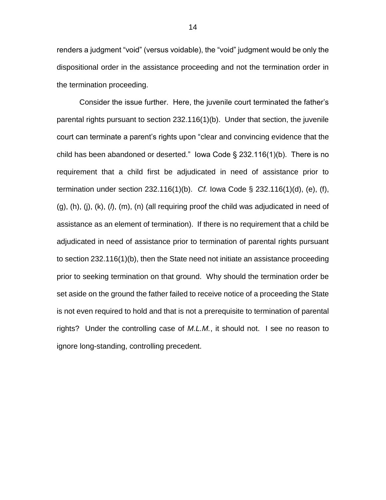renders a judgment "void" (versus voidable), the "void" judgment would be only the dispositional order in the assistance proceeding and not the termination order in the termination proceeding.

Consider the issue further. Here, the juvenile court terminated the father's parental rights pursuant to section 232.116(1)(b). Under that section, the juvenile court can terminate a parent's rights upon "clear and convincing evidence that the child has been abandoned or deserted." Iowa Code § 232.116(1)(b). There is no requirement that a child first be adjudicated in need of assistance prior to termination under section 232.116(1)(b). *Cf.* Iowa Code § 232.116(1)(d), (e), (f), (g), (h), (j), (k), (*l*), (m), (n) (all requiring proof the child was adjudicated in need of assistance as an element of termination). If there is no requirement that a child be adjudicated in need of assistance prior to termination of parental rights pursuant to section 232.116(1)(b), then the State need not initiate an assistance proceeding prior to seeking termination on that ground. Why should the termination order be set aside on the ground the father failed to receive notice of a proceeding the State is not even required to hold and that is not a prerequisite to termination of parental rights? Under the controlling case of *M.L.M.*, it should not. I see no reason to ignore long-standing, controlling precedent.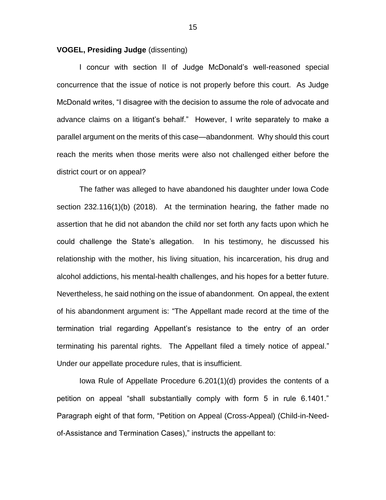### **VOGEL, Presiding Judge** (dissenting)

I concur with section II of Judge McDonald's well-reasoned special concurrence that the issue of notice is not properly before this court. As Judge McDonald writes, "I disagree with the decision to assume the role of advocate and advance claims on a litigant's behalf." However, I write separately to make a parallel argument on the merits of this case—abandonment. Why should this court reach the merits when those merits were also not challenged either before the district court or on appeal?

The father was alleged to have abandoned his daughter under Iowa Code section 232.116(1)(b) (2018). At the termination hearing, the father made no assertion that he did not abandon the child nor set forth any facts upon which he could challenge the State's allegation. In his testimony, he discussed his relationship with the mother, his living situation, his incarceration, his drug and alcohol addictions, his mental-health challenges, and his hopes for a better future. Nevertheless, he said nothing on the issue of abandonment. On appeal, the extent of his abandonment argument is: "The Appellant made record at the time of the termination trial regarding Appellant's resistance to the entry of an order terminating his parental rights. The Appellant filed a timely notice of appeal." Under our appellate procedure rules, that is insufficient.

Iowa Rule of Appellate Procedure 6.201(1)(d) provides the contents of a petition on appeal "shall substantially comply with form 5 in rule 6.1401." Paragraph eight of that form, "Petition on Appeal (Cross-Appeal) (Child-in-Needof-Assistance and Termination Cases)," instructs the appellant to:

15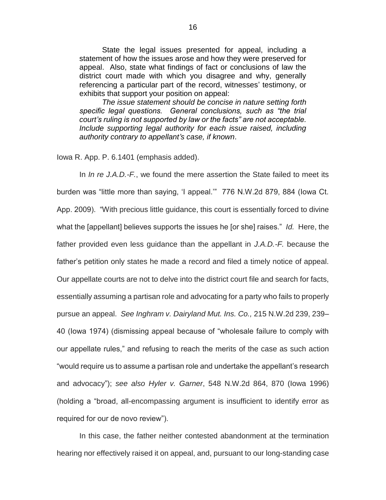State the legal issues presented for appeal, including a statement of how the issues arose and how they were preserved for appeal. Also, state what findings of fact or conclusions of law the district court made with which you disagree and why, generally referencing a particular part of the record, witnesses' testimony, or exhibits that support your position on appeal:

*The issue statement should be concise in nature setting forth specific legal questions. General conclusions, such as "the trial court's ruling is not supported by law or the facts" are not acceptable. Include supporting legal authority for each issue raised, including authority contrary to appellant's case, if known*.

Iowa R. App. P. 6.1401 (emphasis added).

In *In re J.A.D.-F.*, we found the mere assertion the State failed to meet its burden was "little more than saying, 'I appeal.'" 776 N.W.2d 879, 884 (Iowa Ct. App. 2009). "With precious little guidance, this court is essentially forced to divine what the [appellant] believes supports the issues he [or she] raises." *Id.* Here, the father provided even less guidance than the appellant in *J.A.D.-F.* because the father's petition only states he made a record and filed a timely notice of appeal. Our appellate courts are not to delve into the district court file and search for facts, essentially assuming a partisan role and advocating for a party who fails to properly pursue an appeal. *See Inghram v. Dairyland Mut. Ins. Co.,* 215 N.W.2d 239, 239– 40 (Iowa 1974) (dismissing appeal because of "wholesale failure to comply with our appellate rules," and refusing to reach the merits of the case as such action "would require us to assume a partisan role and undertake the appellant's research and advocacy"); *see also Hyler v. Garner*, 548 N.W.2d 864, 870 (Iowa 1996) (holding a "broad, all-encompassing argument is insufficient to identify error as required for our de novo review").

In this case, the father neither contested abandonment at the termination hearing nor effectively raised it on appeal, and, pursuant to our long-standing case